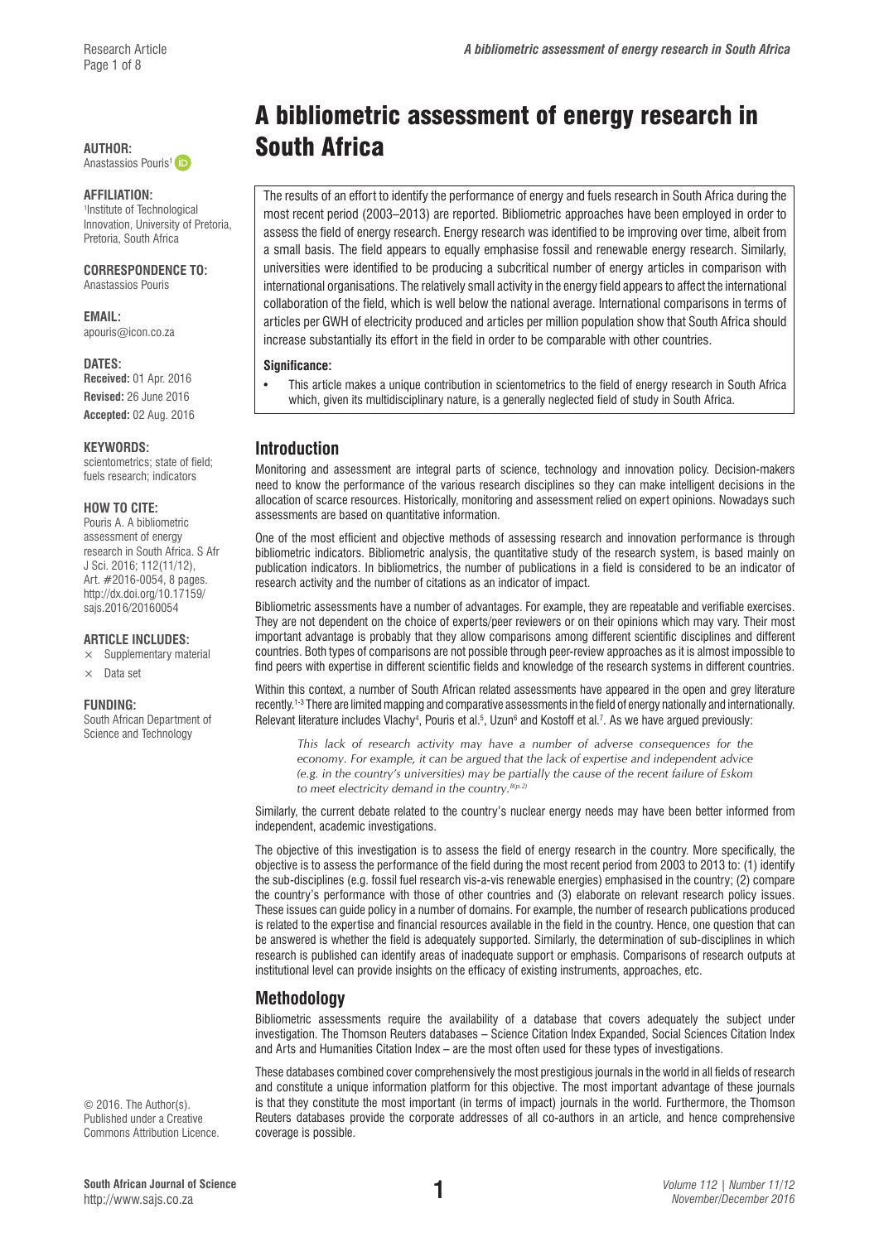Anastassios Pouris<sup>1</sup> (iD

#### **AFFILIATION:**

1 Institute of Technological Innovation, University of Pretoria, Pretoria, South Africa

### **CORRESPONDENCE TO:**

Anastassios Pouris

**EMAIL:**  [apouris@icon.co.za](mailto:apouris@icon.co.za)

#### **DATES:**

**Received:** 01 Apr. 2016 **Revised:** 26 June 2016 **Accepted:** 02 Aug. 2016

#### **KEYWORDS:**

scientometrics; state of field; fuels research; indicators

#### **HOW TO CITE:**

Pouris A. A bibliometric assessment of energy research in South Africa. S Afr J Sci. 2016; 112(11/12), Art. #2016-0054, 8 pages. [http://dx.doi.org/10.17159/](http://dx.doi.org/10.17159/sajs.2016/20160054) [sajs.2016/20160054](http://dx.doi.org/10.17159/sajs.2016/20160054)

#### **ARTICLE INCLUDES:**

- $\times$  Supplementary material
- × Data set

#### **FUNDING:**

South African Department of Science and Technology

© 2016. The Author(s). Published under a Creative Commons Attribution Licence.

# A bibliometric assessment of energy research in AUTHOR: **South Africa**

The results of an effort to identify the performance of energy and fuels research in South Africa during the most recent period (2003–2013) are reported. Bibliometric approaches have been employed in order to assess the field of energy research. Energy research was identified to be improving over time, albeit from a small basis. The field appears to equally emphasise fossil and renewable energy research. Similarly, universities were identified to be producing a subcritical number of energy articles in comparison with international organisations. The relatively small activity in the energy field appears to affect the international collaboration of the field, which is well below the national average. International comparisons in terms of articles per GWH of electricity produced and articles per million population show that South Africa should increase substantially its effort in the field in order to be comparable with other countries.

#### **Significance:**

• This article makes a unique contribution in scientometrics to the field of energy research in South Africa which, given its multidisciplinary nature, is a generally neglected field of study in South Africa.

# **Introduction**

Monitoring and assessment are integral parts of science, technology and innovation policy. Decision-makers need to know the performance of the various research disciplines so they can make intelligent decisions in the allocation of scarce resources. Historically, monitoring and assessment relied on expert opinions. Nowadays such assessments are based on quantitative information.

One of the most efficient and objective methods of assessing research and innovation performance is through bibliometric indicators. Bibliometric analysis, the quantitative study of the research system, is based mainly on publication indicators. In bibliometrics, the number of publications in a field is considered to be an indicator of research activity and the number of citations as an indicator of impact.

Bibliometric assessments have a number of advantages. For example, they are repeatable and verifiable exercises. They are not dependent on the choice of experts/peer reviewers or on their opinions which may vary. Their most important advantage is probably that they allow comparisons among different scientific disciplines and different countries. Both types of comparisons are not possible through peer-review approaches as it is almost impossible to find peers with expertise in different scientific fields and knowledge of the research systems in different countries.

Within this context, a number of South African related assessments have appeared in the open and grey literature recently.1-3 There are limited mapping and comparative assessments in the field of energy nationally and internationally. Relevant literature includes Vlachy<sup>4</sup>, Pouris et al.<sup>5</sup>, Uzun<sup>6</sup> and Kostoff et al.<sup>7</sup>. As we have argued previously:

*This lack of research activity may have a number of adverse consequences for the economy. For example, it can be argued that the lack of expertise and independent advice (e.g. in the country's universities) may be partially the cause of the recent failure of Eskom to meet electricity demand in the country.8(p.2)*

Similarly, the current debate related to the country's nuclear energy needs may have been better informed from independent, academic investigations.

The objective of this investigation is to assess the field of energy research in the country. More specifically, the objective is to assess the performance of the field during the most recent period from 2003 to 2013 to: (1) identify the sub-disciplines (e.g. fossil fuel research vis-a-vis renewable energies) emphasised in the country; (2) compare the country's performance with those of other countries and (3) elaborate on relevant research policy issues. These issues can guide policy in a number of domains. For example, the number of research publications produced is related to the expertise and financial resources available in the field in the country. Hence, one question that can be answered is whether the field is adequately supported. Similarly, the determination of sub-disciplines in which research is published can identify areas of inadequate support or emphasis. Comparisons of research outputs at institutional level can provide insights on the efficacy of existing instruments, approaches, etc.

# **Methodology**

Bibliometric assessments require the availability of a database that covers adequately the subject under investigation. The Thomson Reuters databases – Science Citation Index Expanded, Social Sciences Citation Index and Arts and Humanities Citation Index – are the most often used for these types of investigations.

These databases combined cover comprehensively the most prestigious journals in the world in all fields of research and constitute a unique information platform for this objective. The most important advantage of these journals is that they constitute the most important (in terms of impact) journals in the world. Furthermore, the Thomson Reuters databases provide the corporate addresses of all co-authors in an article, and hence comprehensive coverage is possible.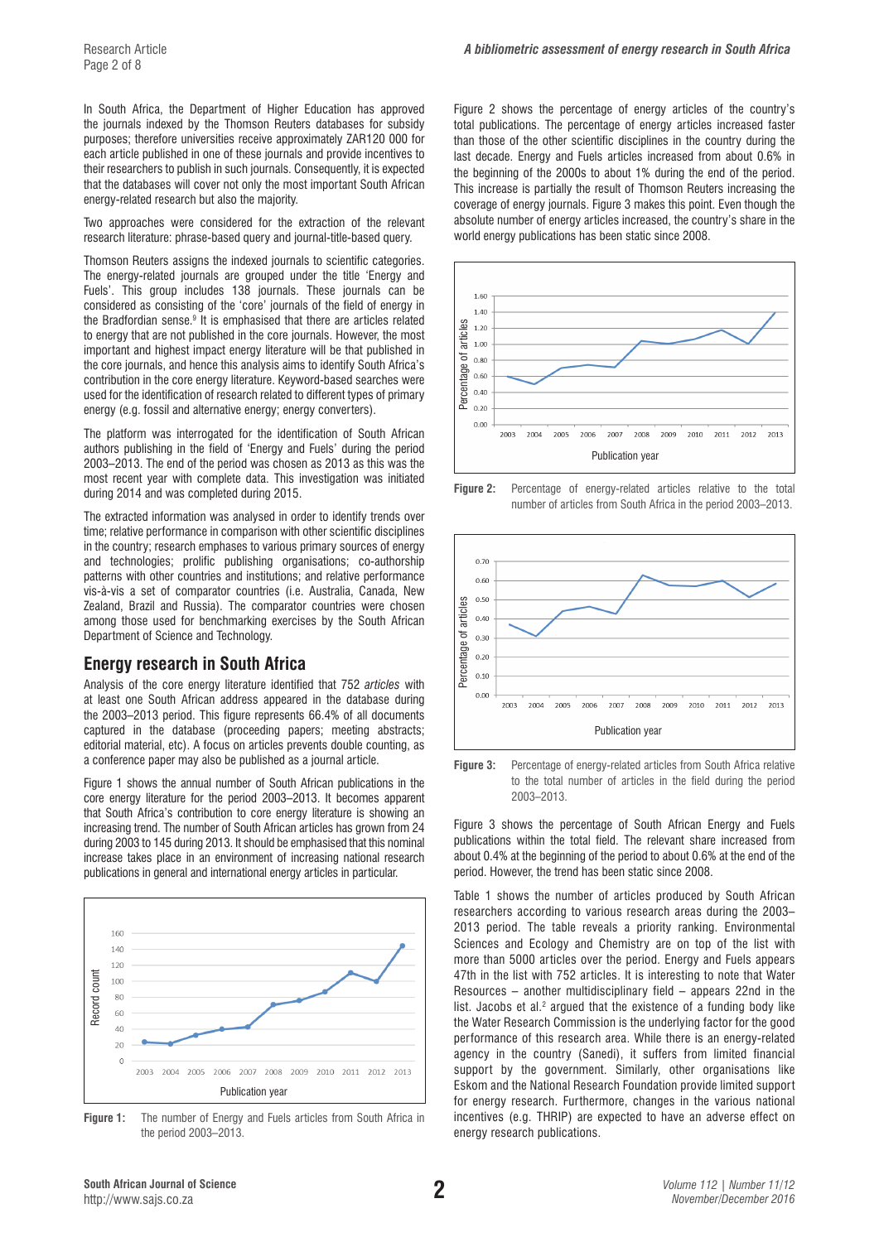In South Africa, the Department of Higher Education has approved the journals indexed by the Thomson Reuters databases for subsidy purposes; therefore universities receive approximately ZAR120 000 for each article published in one of these journals and provide incentives to their researchers to publish in such journals. Consequently, it is expected that the databases will cover not only the most important South African energy-related research but also the majority.

Two approaches were considered for the extraction of the relevant research literature: phrase-based query and journal-title-based query.

Thomson Reuters assigns the indexed journals to scientific categories. The energy-related journals are grouped under the title 'Energy and Fuels'. This group includes 138 journals. These journals can be considered as consisting of the 'core' journals of the field of energy in the Bradfordian sense.<sup>9</sup> It is emphasised that there are articles related to energy that are not published in the core journals. However, the most important and highest impact energy literature will be that published in the core journals, and hence this analysis aims to identify South Africa's contribution in the core energy literature. Keyword-based searches were used for the identification of research related to different types of primary energy (e.g. fossil and alternative energy; energy converters).

The platform was interrogated for the identification of South African authors publishing in the field of 'Energy and Fuels' during the period 2003–2013. The end of the period was chosen as 2013 as this was the most recent year with complete data. This investigation was initiated during 2014 and was completed during 2015.

The extracted information was analysed in order to identify trends over time; relative performance in comparison with other scientific disciplines in the country; research emphases to various primary sources of energy and technologies; prolific publishing organisations; co-authorship patterns with other countries and institutions; and relative performance vis-à-vis a set of comparator countries (i.e. Australia, Canada, New Zealand, Brazil and Russia). The comparator countries were chosen among those used for benchmarking exercises by the South African Department of Science and Technology.

# **Energy research in South Africa**

Analysis of the core energy literature identified that 752 *articles* with at least one South African address appeared in the database during the 2003–2013 period. This figure represents 66.4% of all documents captured in the database (proceeding papers; meeting abstracts; editorial material, etc). A focus on articles prevents double counting, as a conference paper may also be published as a journal article.

Figure 1 shows the annual number of South African publications in the core energy literature for the period 2003–2013. It becomes apparent that South Africa's contribution to core energy literature is showing an increasing trend. The number of South African articles has grown from 24 during 2003 to 145 during 2013. It should be emphasised that this nominal increase takes place in an environment of increasing national research publications in general and international energy articles in particular.



**Figure 1:** The number of Energy and Fuels articles from South Africa in the period 2003–2013.

Figure 2 shows the percentage of energy articles of the country's total publications. The percentage of energy articles increased faster than those of the other scientific disciplines in the country during the last decade. Energy and Fuels articles increased from about 0.6% in the beginning of the 2000s to about 1% during the end of the period. This increase is partially the result of Thomson Reuters increasing the coverage of energy journals. Figure 3 makes this point. Even though the absolute number of energy articles increased, the country's share in the world energy publications has been static since 2008.







**Figure 3:** Percentage of energy-related articles from South Africa relative to the total number of articles in the field during the period 2003–2013.

Figure 3 shows the percentage of South African Energy and Fuels publications within the total field. The relevant share increased from about 0.4% at the beginning of the period to about 0.6% at the end of the period. However, the trend has been static since 2008.

Table 1 shows the number of articles produced by South African researchers according to various research areas during the 2003– 2013 period. The table reveals a priority ranking. Environmental Sciences and Ecology and Chemistry are on top of the list with more than 5000 articles over the period. Energy and Fuels appears 47th in the list with 752 articles. It is interesting to note that Water Resources – another multidisciplinary field – appears 22nd in the list. Jacobs et al. $2$  argued that the existence of a funding body like the Water Research Commission is the underlying factor for the good performance of this research area. While there is an energy-related agency in the country (Sanedi), it suffers from limited financial support by the government. Similarly, other organisations like Eskom and the National Research Foundation provide limited support for energy research. Furthermore, changes in the various national incentives (e.g. THRIP) are expected to have an adverse effect on energy research publications.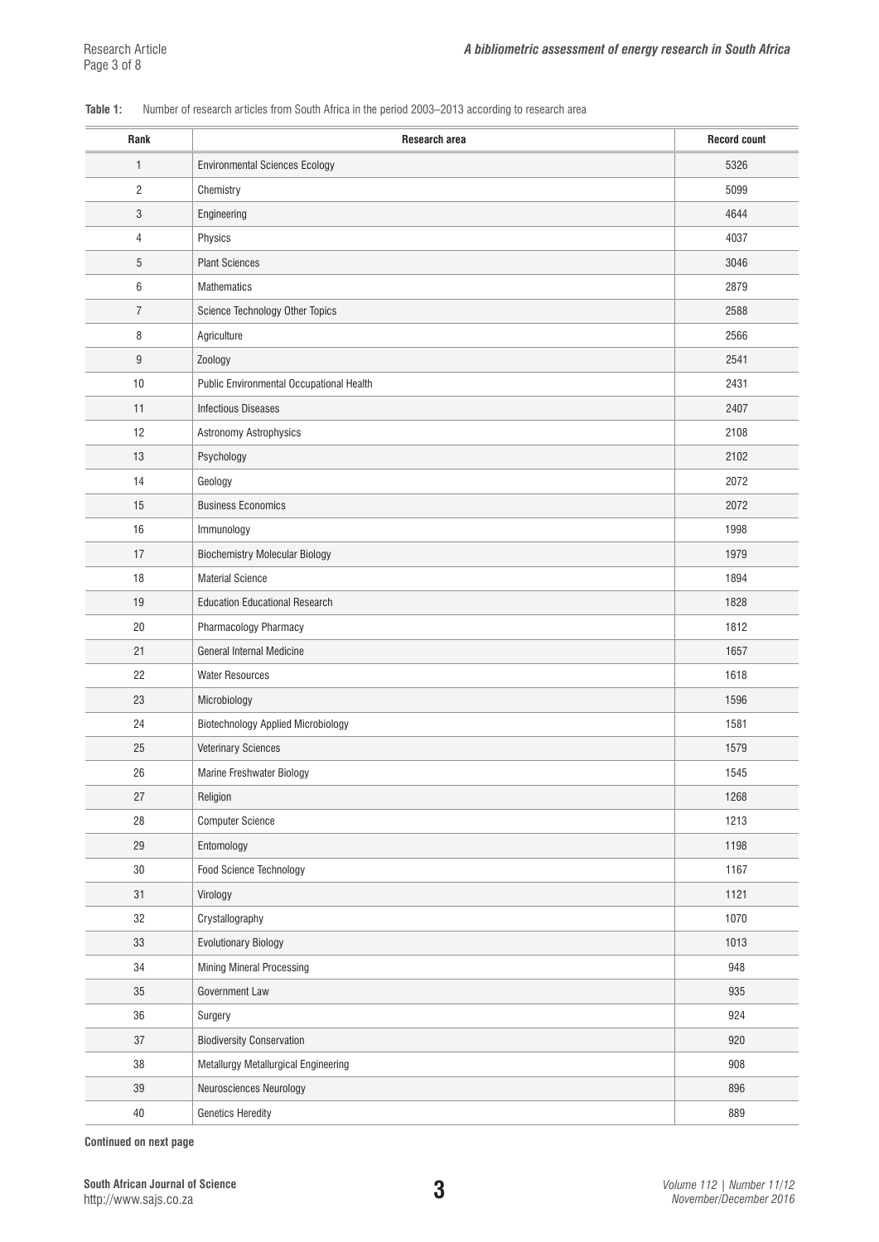## **Table 1:** Number of research articles from South Africa in the period 2003–2013 according to research area

| Rank             | Research area                             | <b>Record count</b> |
|------------------|-------------------------------------------|---------------------|
| 1                | <b>Environmental Sciences Ecology</b>     | 5326                |
| $\overline{c}$   | Chemistry                                 | 5099                |
| 3                | Engineering                               | 4644                |
| $\overline{4}$   | Physics                                   | 4037                |
| 5                | <b>Plant Sciences</b>                     | 3046                |
| 6                | Mathematics                               | 2879                |
| $\overline{7}$   | Science Technology Other Topics           | 2588                |
| 8                | Agriculture                               | 2566                |
| $\boldsymbol{9}$ | Zoology                                   | 2541                |
| 10               | Public Environmental Occupational Health  | 2431                |
| 11               | <b>Infectious Diseases</b>                | 2407                |
| 12               | Astronomy Astrophysics                    | 2108                |
| 13               | Psychology                                | 2102                |
| 14               | Geology                                   | 2072                |
| 15               | <b>Business Economics</b>                 | 2072                |
| 16               | Immunology                                | 1998                |
| 17               | <b>Biochemistry Molecular Biology</b>     | 1979                |
| 18               | <b>Material Science</b>                   | 1894                |
| 19               | <b>Education Educational Research</b>     | 1828                |
| 20               | Pharmacology Pharmacy                     | 1812                |
| 21               | General Internal Medicine                 | 1657                |
| 22               | <b>Water Resources</b>                    | 1618                |
| 23               | Microbiology                              | 1596                |
| 24               | <b>Biotechnology Applied Microbiology</b> | 1581                |
| 25               | <b>Veterinary Sciences</b>                | 1579                |
| 26               | Marine Freshwater Biology                 | 1545                |
| 27               | Religion                                  | 1268                |
| 28               | <b>Computer Science</b>                   | 1213                |
| 29               | Entomology                                | 1198                |
| $30\,$           | Food Science Technology                   | 1167                |
| 31               | Virology                                  | 1121                |
| 32               | Crystallography                           | 1070                |
| 33               | <b>Evolutionary Biology</b>               | 1013                |
| 34               | Mining Mineral Processing                 | 948                 |
| 35               | Government Law                            | 935                 |
| 36               | Surgery                                   | 924                 |
| 37               | <b>Biodiversity Conservation</b>          | 920                 |
| 38               | Metallurgy Metallurgical Engineering      | 908                 |
| 39               | Neurosciences Neurology                   | 896                 |
| $40\,$           | <b>Genetics Heredity</b>                  | 889                 |

**Continued on next page**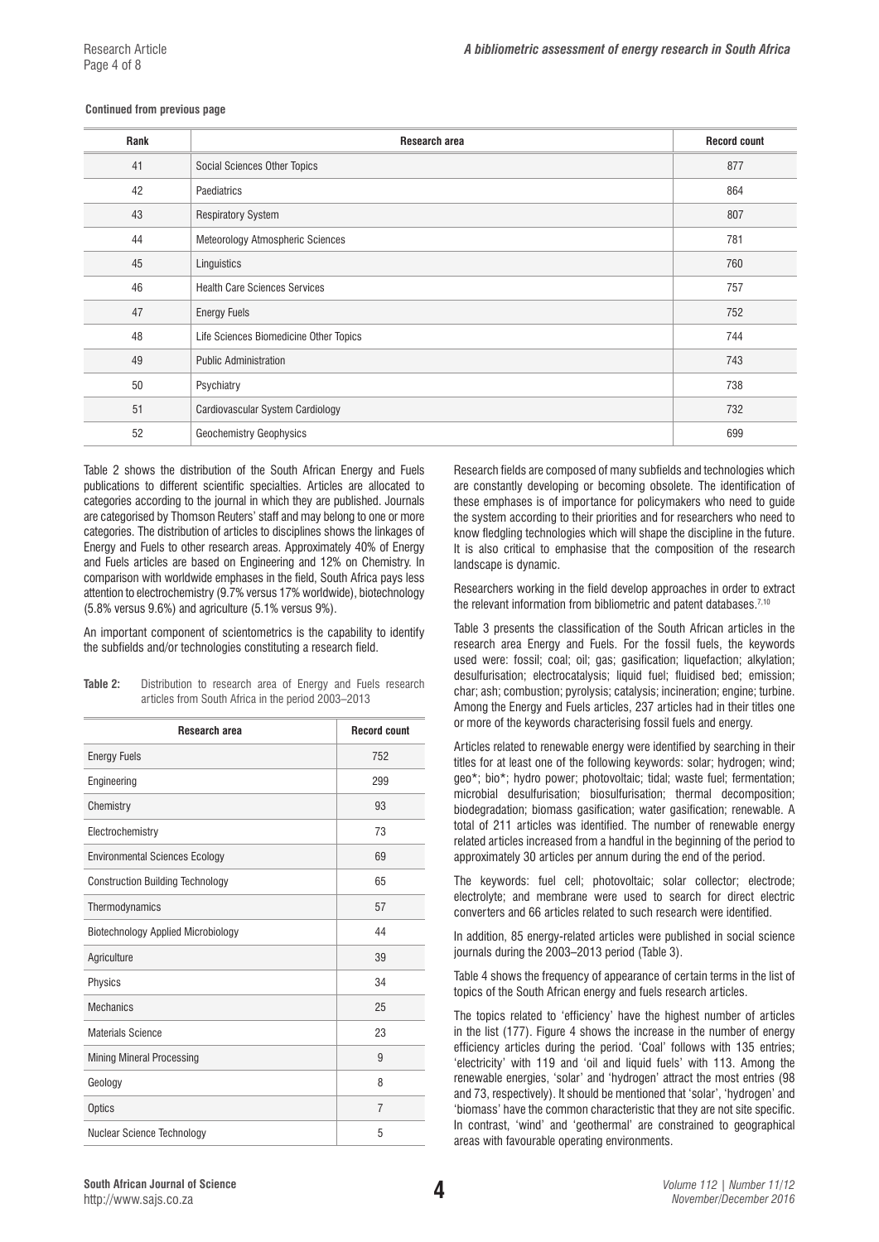#### **Continued from previous page**

| Rank | Research area                          | <b>Record count</b> |
|------|----------------------------------------|---------------------|
| 41   | Social Sciences Other Topics           | 877                 |
| 42   | Paediatrics                            | 864                 |
| 43   | <b>Respiratory System</b>              | 807                 |
| 44   | Meteorology Atmospheric Sciences       | 781                 |
| 45   | Linguistics                            | 760                 |
| 46   | <b>Health Care Sciences Services</b>   | 757                 |
| 47   | <b>Energy Fuels</b>                    | 752                 |
| 48   | Life Sciences Biomedicine Other Topics | 744                 |
| 49   | <b>Public Administration</b>           | 743                 |
| 50   | Psychiatry                             | 738                 |
| 51   | Cardiovascular System Cardiology       | 732                 |
| 52   | <b>Geochemistry Geophysics</b>         | 699                 |

Table 2 shows the distribution of the South African Energy and Fuels publications to different scientific specialties. Articles are allocated to categories according to the journal in which they are published. Journals are categorised by Thomson Reuters' staff and may belong to one or more categories. The distribution of articles to disciplines shows the linkages of Energy and Fuels to other research areas. Approximately 40% of Energy and Fuels articles are based on Engineering and 12% on Chemistry. In comparison with worldwide emphases in the field, South Africa pays less attention to electrochemistry (9.7% versus 17% worldwide), biotechnology (5.8% versus 9.6%) and agriculture (5.1% versus 9%).

An important component of scientometrics is the capability to identify the subfields and/or technologies constituting a research field.

| <b>Research area</b>                      | <b>Record count</b> |
|-------------------------------------------|---------------------|
| <b>Energy Fuels</b>                       | 752                 |
| Engineering                               | 299                 |
| Chemistry                                 | 93                  |
| Electrochemistry                          | 73                  |
| <b>Environmental Sciences Ecology</b>     | 69                  |
| <b>Construction Building Technology</b>   | 65                  |
| Thermodynamics                            | 57                  |
| <b>Biotechnology Applied Microbiology</b> | 44                  |
| Agriculture                               | 39                  |
| Physics                                   | 34                  |
| <b>Mechanics</b>                          | 25                  |
| <b>Materials Science</b>                  | 23                  |
| <b>Mining Mineral Processing</b>          | 9                   |
| Geology                                   | 8                   |
| <b>Optics</b>                             | 7                   |
| Nuclear Science Technology                | 5                   |

**Table 2:** Distribution to research area of Energy and Fuels research articles from South Africa in the period 2003–2013

Research fields are composed of many subfields and technologies which are constantly developing or becoming obsolete. The identification of these emphases is of importance for policymakers who need to guide the system according to their priorities and for researchers who need to know fledgling technologies which will shape the discipline in the future. It is also critical to emphasise that the composition of the research landscape is dynamic.

Researchers working in the field develop approaches in order to extract the relevant information from bibliometric and patent databases.<sup>7,10</sup>

Table 3 presents the classification of the South African articles in the research area Energy and Fuels. For the fossil fuels, the keywords used were: fossil; coal; oil; gas; gasification; liquefaction; alkylation; desulfurisation; electrocatalysis; liquid fuel; fluidised bed; emission; char; ash; combustion; pyrolysis; catalysis; incineration; engine; turbine. Among the Energy and Fuels articles, 237 articles had in their titles one or more of the keywords characterising fossil fuels and energy.

Articles related to renewable energy were identified by searching in their titles for at least one of the following keywords: solar; hydrogen; wind; geo\*; bio\*; hydro power; photovoltaic; tidal; waste fuel; fermentation; microbial desulfurisation; biosulfurisation; thermal decomposition; biodegradation; biomass gasification; water gasification; renewable. A total of 211 articles was identified. The number of renewable energy related articles increased from a handful in the beginning of the period to approximately 30 articles per annum during the end of the period.

The keywords: fuel cell; photovoltaic; solar collector; electrode; electrolyte; and membrane were used to search for direct electric converters and 66 articles related to such research were identified.

In addition, 85 energy-related articles were published in social science journals during the 2003–2013 period (Table 3).

Table 4 shows the frequency of appearance of certain terms in the list of topics of the South African energy and fuels research articles.

The topics related to 'efficiency' have the highest number of articles in the list (177). Figure 4 shows the increase in the number of energy efficiency articles during the period. 'Coal' follows with 135 entries; 'electricity' with 119 and 'oil and liquid fuels' with 113. Among the renewable energies, 'solar' and 'hydrogen' attract the most entries (98 and 73, respectively). It should be mentioned that 'solar', 'hydrogen' and 'biomass' have the common characteristic that they are not site specific. In contrast, 'wind' and 'geothermal' are constrained to geographical areas with favourable operating environments.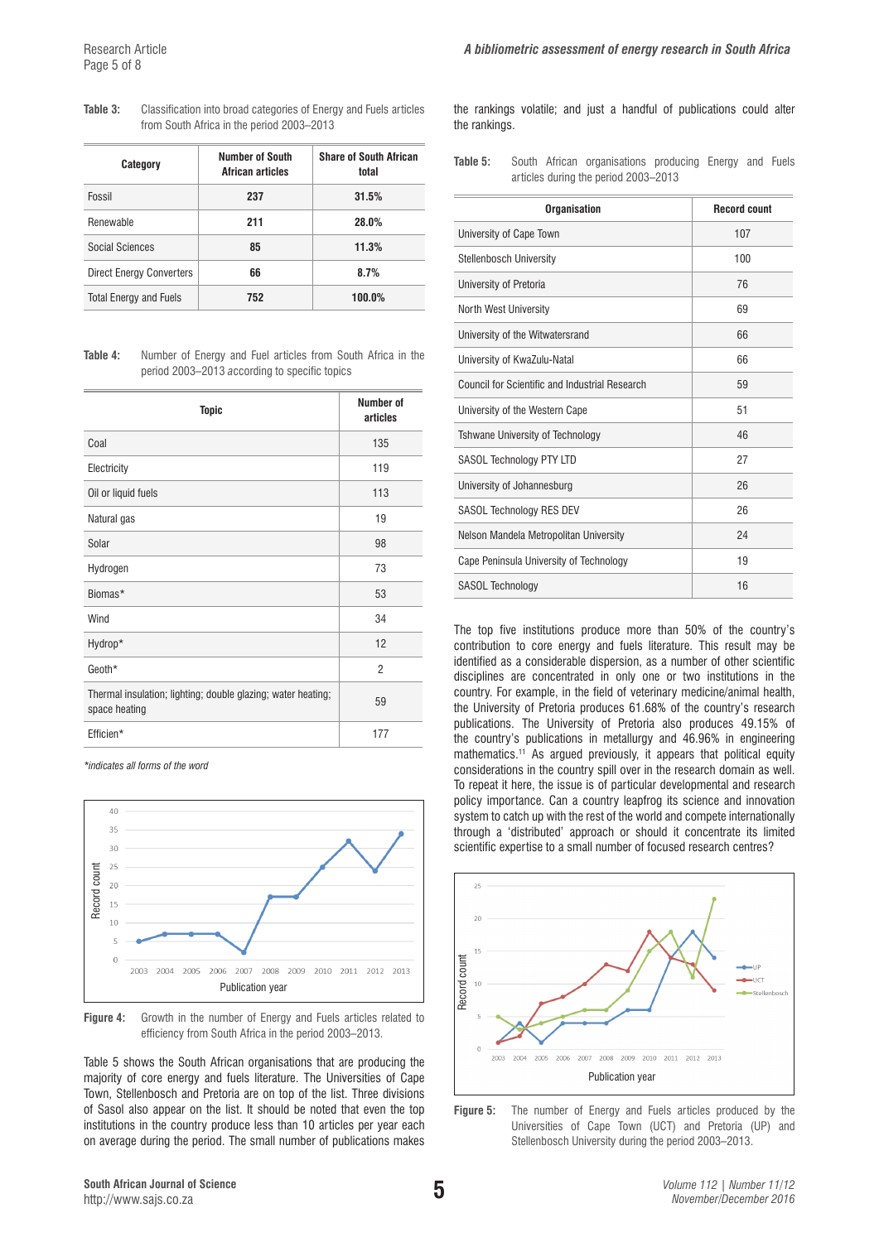| Category                        | Number of South<br>African articles | <b>Share of South African</b><br>total |  |  |
|---------------------------------|-------------------------------------|----------------------------------------|--|--|
| Fossil                          | 237                                 | 31.5%                                  |  |  |
| <b>Renewable</b>                | 211                                 | 28.0%                                  |  |  |
| <b>Social Sciences</b>          | 85                                  | 11.3%                                  |  |  |
| <b>Direct Energy Converters</b> | 66                                  | 8.7%                                   |  |  |
| <b>Total Energy and Fuels</b>   | 752                                 | 100.0%                                 |  |  |

**Table 4:** Number of Energy and Fuel articles from South Africa in the period 2003–2013 *a*ccording to specific topics

| <b>Topic</b>                                                                  | Number of<br>articles |
|-------------------------------------------------------------------------------|-----------------------|
| Coal                                                                          | 135                   |
| Electricity                                                                   | 119                   |
| Oil or liquid fuels                                                           | 113                   |
| Natural gas                                                                   | 19                    |
| Solar                                                                         | 98                    |
| Hydrogen                                                                      | 73                    |
| Biomas*                                                                       | 53                    |
| Wind                                                                          | 34                    |
| Hydrop*                                                                       | 12                    |
| Geoth*                                                                        | $\overline{2}$        |
| Thermal insulation; lighting; double glazing; water heating;<br>space heating | 59                    |
| Efficien*                                                                     | 177                   |

*\*indicates all forms of the word*



**Figure 4:** Growth in the number of Energy and Fuels articles related to efficiency from South Africa in the period 2003–2013.

Table 5 shows the South African organisations that are producing the majority of core energy and fuels literature. The Universities of Cape Town, Stellenbosch and Pretoria are on top of the list. Three divisions of Sasol also appear on the list. It should be noted that even the top institutions in the country produce less than 10 articles per year each on average during the period. The small number of publications makes

the rankings volatile; and just a handful of publications could alter the rankings.

**Table 5:** South African organisations producing Energy and Fuels articles during the period 2003–2013

| <b>Organisation</b>                            | <b>Record count</b> |
|------------------------------------------------|---------------------|
| University of Cape Town                        | 107                 |
| Stellenbosch University                        | 100                 |
| University of Pretoria                         | 76                  |
| North West University                          | 69                  |
| University of the Witwatersrand                | 66                  |
| University of KwaZulu-Natal                    | 66                  |
| Council for Scientific and Industrial Research | 59                  |
| University of the Western Cape                 | 51                  |
| Tshwane University of Technology               | 46                  |
| SASOL Technology PTY LTD                       | 27                  |
| University of Johannesburg                     | 26                  |
| <b>SASOL Technology RES DEV</b>                | 26                  |
| Nelson Mandela Metropolitan University         | 24                  |
| Cape Peninsula University of Technology        | 19                  |
| <b>SASOL Technology</b>                        | 16                  |

The top five institutions produce more than 50% of the country's contribution to core energy and fuels literature. This result may be identified as a considerable dispersion, as a number of other scientific disciplines are concentrated in only one or two institutions in the country. For example, in the field of veterinary medicine/animal health, the University of Pretoria produces 61.68% of the country's research publications. The University of Pretoria also produces 49.15% of the country's publications in metallurgy and 46.96% in engineering mathematics.11 As argued previously, it appears that political equity considerations in the country spill over in the research domain as well. To repeat it here, the issue is of particular developmental and research policy importance. Can a country leapfrog its science and innovation system to catch up with the rest of the world and compete internationally through a 'distributed' approach or should it concentrate its limited scientific expertise to a small number of focused research centres?



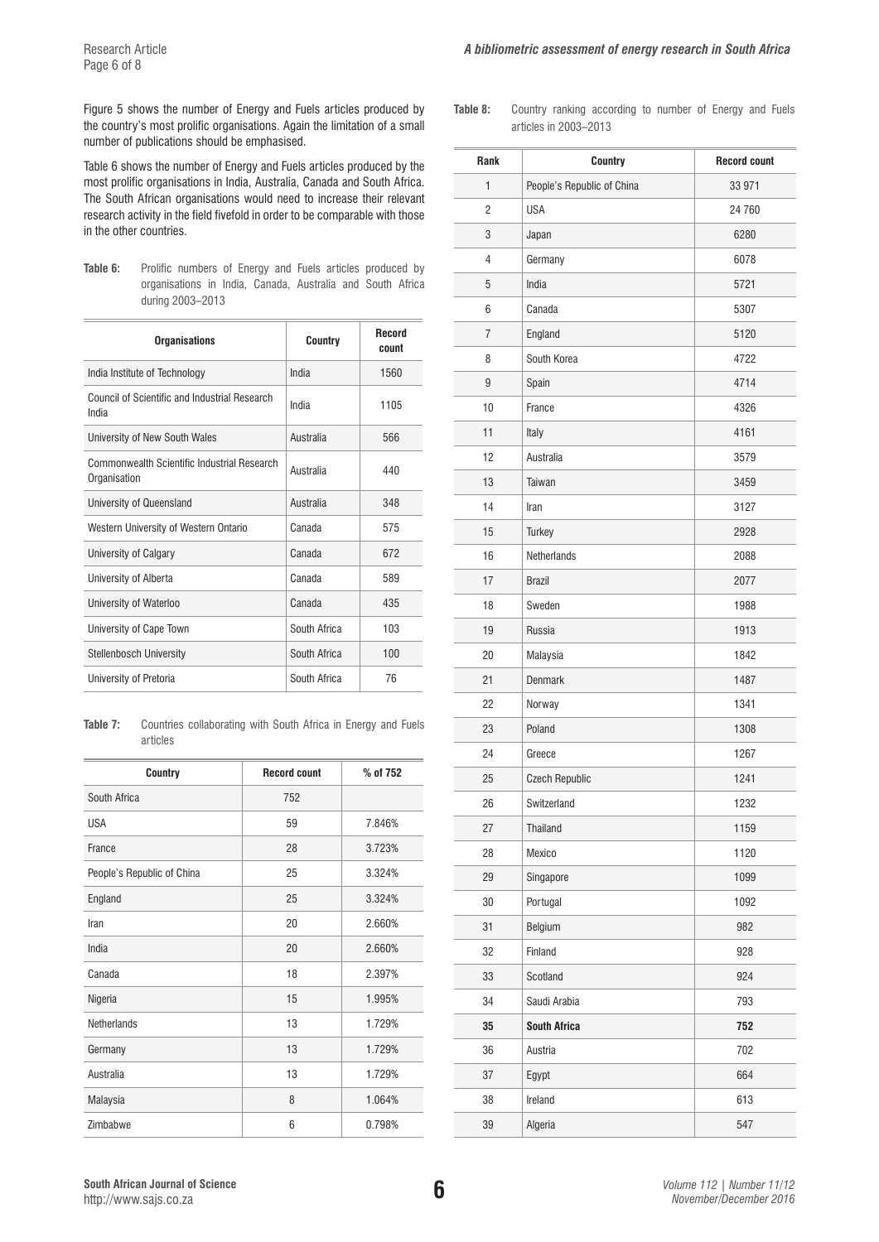Figure 5 shows the number of Energy and Fuels articles produced by the country's most prolific organisations. Again the limitation of a small number of publications should be emphasised.

Table 6 shows the number of Energy and Fuels articles produced by the most prolific organisations in India, Australia, Canada and South Africa. The South African organisations would need to increase their relevant research activity in the field fivefold in order to be comparable with those in the other countries.

Table 6: Prolific numbers of Energy and Fuels articles produced by organisations in India, Canada, Australia and South Africa during 2003–2013

| <b>Organisations</b>                                        | Country      | Record<br>count |
|-------------------------------------------------------------|--------------|-----------------|
| India Institute of Technology                               | India        | 1560            |
| Council of Scientific and Industrial Research<br>India      | India        | 1105            |
| University of New South Wales                               | Australia    | 566             |
| Commonwealth Scientific Industrial Research<br>Organisation | Australia    | 440             |
| University of Queensland                                    | Australia    | 348             |
| Western University of Western Ontario                       | Canada       | 575             |
| University of Calgary                                       | Canada       | 672             |
| University of Alberta                                       | Canada       | 589             |
| University of Waterloo                                      | Canada       | 435             |
| University of Cape Town                                     | South Africa | 103             |
| <b>Stellenbosch University</b>                              | South Africa | 100             |
| University of Pretoria                                      | South Africa | 76              |

**Table 7:** Countries collaborating with South Africa in Energy and Fuels articles

| Country                    | <b>Record count</b> | % of 752 |
|----------------------------|---------------------|----------|
| South Africa               | 752                 |          |
| <b>USA</b>                 | 59                  | 7.846%   |
| France                     | 28                  | 3.723%   |
| People's Republic of China | 25                  | 3.324%   |
| England                    | 25                  | 3.324%   |
| Iran                       | 20                  | 2.660%   |
| India                      | 20                  | 2.660%   |
| Canada                     | 18                  | 2.397%   |
| Nigeria                    | 15                  | 1.995%   |
| Netherlands                | 13                  | 1.729%   |
| Germany                    | 13                  | 1.729%   |
| Australia                  | 13                  | 1.729%   |
| Malaysia                   | 8                   | 1.064%   |
| Zimbabwe                   | 6                   | 0.798%   |

**Table 8:** Country ranking according to number of Energy and Fuels articles in 2003–2013

| Rank           | <b>Country</b>             | <b>Record count</b> |
|----------------|----------------------------|---------------------|
| 1              | People's Republic of China | 33 971              |
| $\overline{c}$ | <b>USA</b>                 | 24 760              |
| 3              | Japan                      | 6280                |
| $\overline{4}$ | Germany                    | 6078                |
| 5              | India                      | 5721                |
| 6              | Canada                     | 5307                |
| 7              | England                    | 5120                |
| 8              | South Korea                | 4722                |
| 9              | Spain                      | 4714                |
| 10             | France                     | 4326                |
| 11             | Italy                      | 4161                |
| 12             | Australia                  | 3579                |
| 13             | Taiwan                     | 3459                |
| 14             | Iran                       | 3127                |
| 15             | Turkey                     | 2928                |
| 16             | Netherlands                | 2088                |
| 17             | <b>Brazil</b>              | 2077                |
| 18             | Sweden                     | 1988                |
| 19             | <b>Russia</b>              | 1913                |
| 20             | Malaysia                   | 1842                |
| 21             | <b>Denmark</b>             | 1487                |
| 22             | Norway                     | 1341                |
| 23             | Poland                     | 1308                |
| 24             | Greece                     | 1267                |
| 25             | <b>Czech Republic</b>      | 1241                |
| 26             | Switzerland                | 1232                |
| 27             | Thailand                   | 1159                |
| 28             | Mexico                     | 1120                |
| 29             | Singapore                  | 1099                |
| 30             | Portugal                   | 1092                |
| 31             | Belgium                    | 982                 |
| 32             | Finland                    | 928                 |
| 33             | Scotland                   | 924                 |
| 34             | Saudi Arabia               | 793                 |
| 35             | <b>South Africa</b>        | 752                 |
| 36             | Austria                    | 702                 |
| 37             | Egypt                      | 664                 |
| 38             | Ireland                    | 613                 |
| 39             | Algeria                    | 547                 |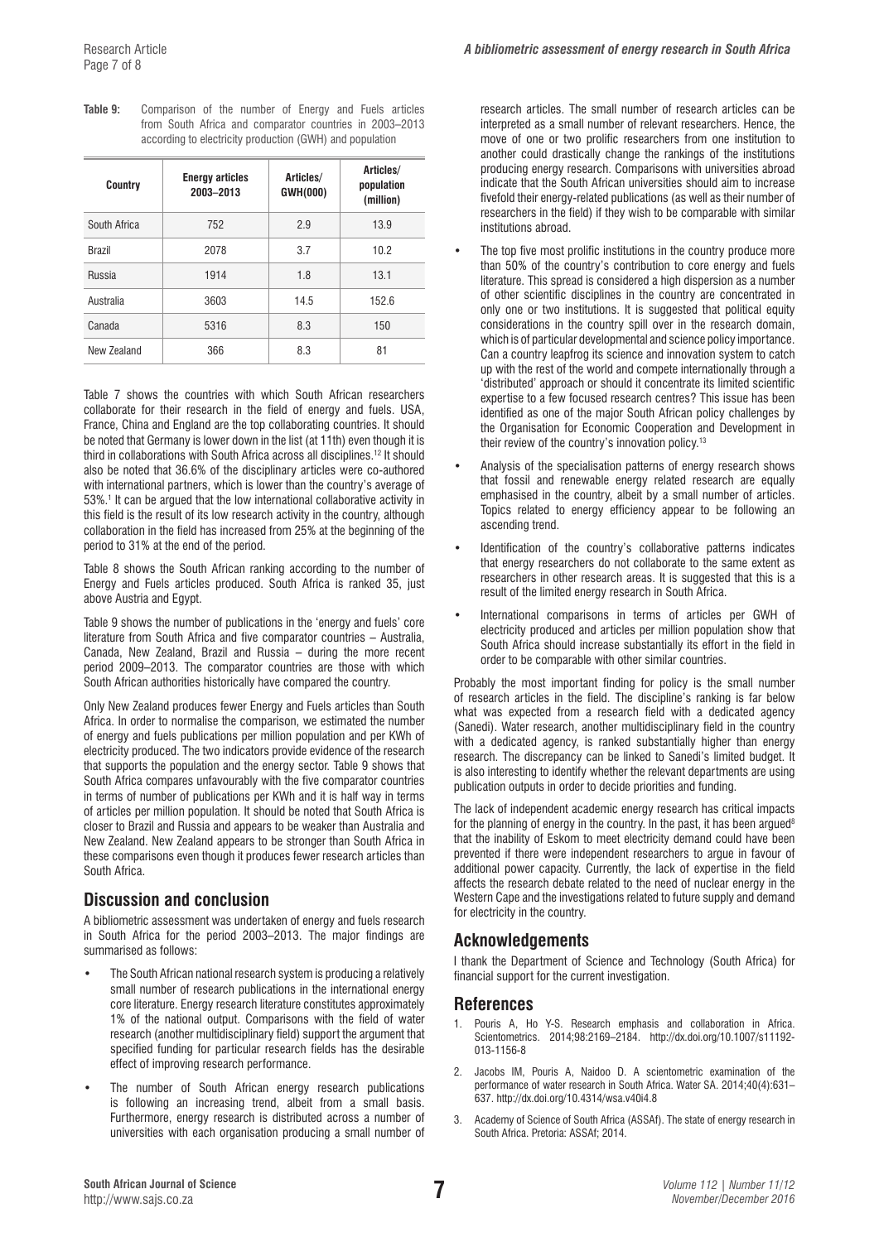| Table 9: | Comparison of the number of Energy and Fuels articles    |  |  |  |  |
|----------|----------------------------------------------------------|--|--|--|--|
|          | from South Africa and comparator countries in 2003–2013  |  |  |  |  |
|          | according to electricity production (GWH) and population |  |  |  |  |

| Country       | <b>Energy articles</b><br>2003-2013 | Articles/<br><b>GWH(000)</b> | Articles/<br>population<br>(million) |
|---------------|-------------------------------------|------------------------------|--------------------------------------|
| South Africa  | 752                                 | 2.9                          | 13.9                                 |
| <b>Brazil</b> | 2078                                | 3.7                          | 10.2                                 |
| Russia        | 1914                                | 1.8                          | 13.1                                 |
| Australia     | 3603                                | 14.5                         | 152.6                                |
| Canada        | 5316                                | 8.3                          | 150                                  |
| New 7ealand   | 366                                 | 8.3                          | 81                                   |

Table 7 shows the countries with which South African researchers collaborate for their research in the field of energy and fuels. USA, France, China and England are the top collaborating countries. It should be noted that Germany is lower down in the list (at 11th) even though it is third in collaborations with South Africa across all disciplines.12 It should also be noted that 36.6% of the disciplinary articles were co-authored with international partners, which is lower than the country's average of 53%.<sup>1</sup> It can be argued that the low international collaborative activity in this field is the result of its low research activity in the country, although collaboration in the field has increased from 25% at the beginning of the period to 31% at the end of the period.

Table 8 shows the South African ranking according to the number of Energy and Fuels articles produced. South Africa is ranked 35, just above Austria and Egypt.

Table 9 shows the number of publications in the 'energy and fuels' core literature from South Africa and five comparator countries – Australia, Canada, New Zealand, Brazil and Russia – during the more recent period 2009–2013. The comparator countries are those with which South African authorities historically have compared the country.

Only New Zealand produces fewer Energy and Fuels articles than South Africa. In order to normalise the comparison, we estimated the number of energy and fuels publications per million population and per KWh of electricity produced. The two indicators provide evidence of the research that supports the population and the energy sector. Table 9 shows that South Africa compares unfavourably with the five comparator countries in terms of number of publications per KWh and it is half way in terms of articles per million population. It should be noted that South Africa is closer to Brazil and Russia and appears to be weaker than Australia and New Zealand. New Zealand appears to be stronger than South Africa in these comparisons even though it produces fewer research articles than South Africa.

# **Discussion and conclusion**

A bibliometric assessment was undertaken of energy and fuels research in South Africa for the period 2003–2013. The major findings are summarised as follows:

- The South African national research system is producing a relatively small number of research publications in the international energy core literature. Energy research literature constitutes approximately 1% of the national output. Comparisons with the field of water research (another multidisciplinary field) support the argument that specified funding for particular research fields has the desirable effect of improving research performance.
- The number of South African energy research publications is following an increasing trend, albeit from a small basis. Furthermore, energy research is distributed across a number of universities with each organisation producing a small number of

research articles. The small number of research articles can be interpreted as a small number of relevant researchers. Hence, the move of one or two prolific researchers from one institution to another could drastically change the rankings of the institutions producing energy research. Comparisons with universities abroad indicate that the South African universities should aim to increase fivefold their energy-related publications (as well as their number of researchers in the field) if they wish to be comparable with similar institutions abroad.

- The top five most prolific institutions in the country produce more than 50% of the country's contribution to core energy and fuels literature. This spread is considered a high dispersion as a number of other scientific disciplines in the country are concentrated in only one or two institutions. It is suggested that political equity considerations in the country spill over in the research domain, which is of particular developmental and science policy importance. Can a country leapfrog its science and innovation system to catch up with the rest of the world and compete internationally through a 'distributed' approach or should it concentrate its limited scientific expertise to a few focused research centres? This issue has been identified as one of the major South African policy challenges by the Organisation for Economic Cooperation and Development in their review of the country's innovation policy.<sup>13</sup>
- Analysis of the specialisation patterns of energy research shows that fossil and renewable energy related research are equally emphasised in the country, albeit by a small number of articles. Topics related to energy efficiency appear to be following an ascending trend.
- Identification of the country's collaborative patterns indicates that energy researchers do not collaborate to the same extent as researchers in other research areas. It is suggested that this is a result of the limited energy research in South Africa.
- International comparisons in terms of articles per GWH of electricity produced and articles per million population show that South Africa should increase substantially its effort in the field in order to be comparable with other similar countries.

Probably the most important finding for policy is the small number of research articles in the field. The discipline's ranking is far below what was expected from a research field with a dedicated agency (Sanedi). Water research, another multidisciplinary field in the country with a dedicated agency, is ranked substantially higher than energy research. The discrepancy can be linked to Sanedi's limited budget. It is also interesting to identify whether the relevant departments are using publication outputs in order to decide priorities and funding.

The lack of independent academic energy research has critical impacts for the planning of energy in the country. In the past, it has been argued<sup>8</sup> that the inability of Eskom to meet electricity demand could have been prevented if there were independent researchers to argue in favour of additional power capacity. Currently, the lack of expertise in the field affects the research debate related to the need of nuclear energy in the Western Cape and the investigations related to future supply and demand for electricity in the country.

# **Acknowledgements**

I thank the Department of Science and Technology (South Africa) for financial support for the current investigation.

# **References**

- 1. Pouris A, Ho Y-S. Research emphasis and collaboration in Africa. Scientometrics. 2014;98:2169–2184. [http://dx.doi.org/10.1007/s11192-](http://dx.doi.org/10.1007/s11192-013-1156-8
) [013-1156-8](http://dx.doi.org/10.1007/s11192-013-1156-8
)
- 2. Jacobs IM, Pouris A, Naidoo D. A scientometric examination of the performance of water research in South Africa. Water SA. 2014;40(4):631– 637. [http://dx.doi.org/10.4314/wsa.v40i4.8](http://dx.doi.org/10.4314/wsa.v40i4.8 )
- 3. Academy of Science of South Africa (ASSAf). The state of energy research in South Africa. Pretoria: ASSAf; 2014.